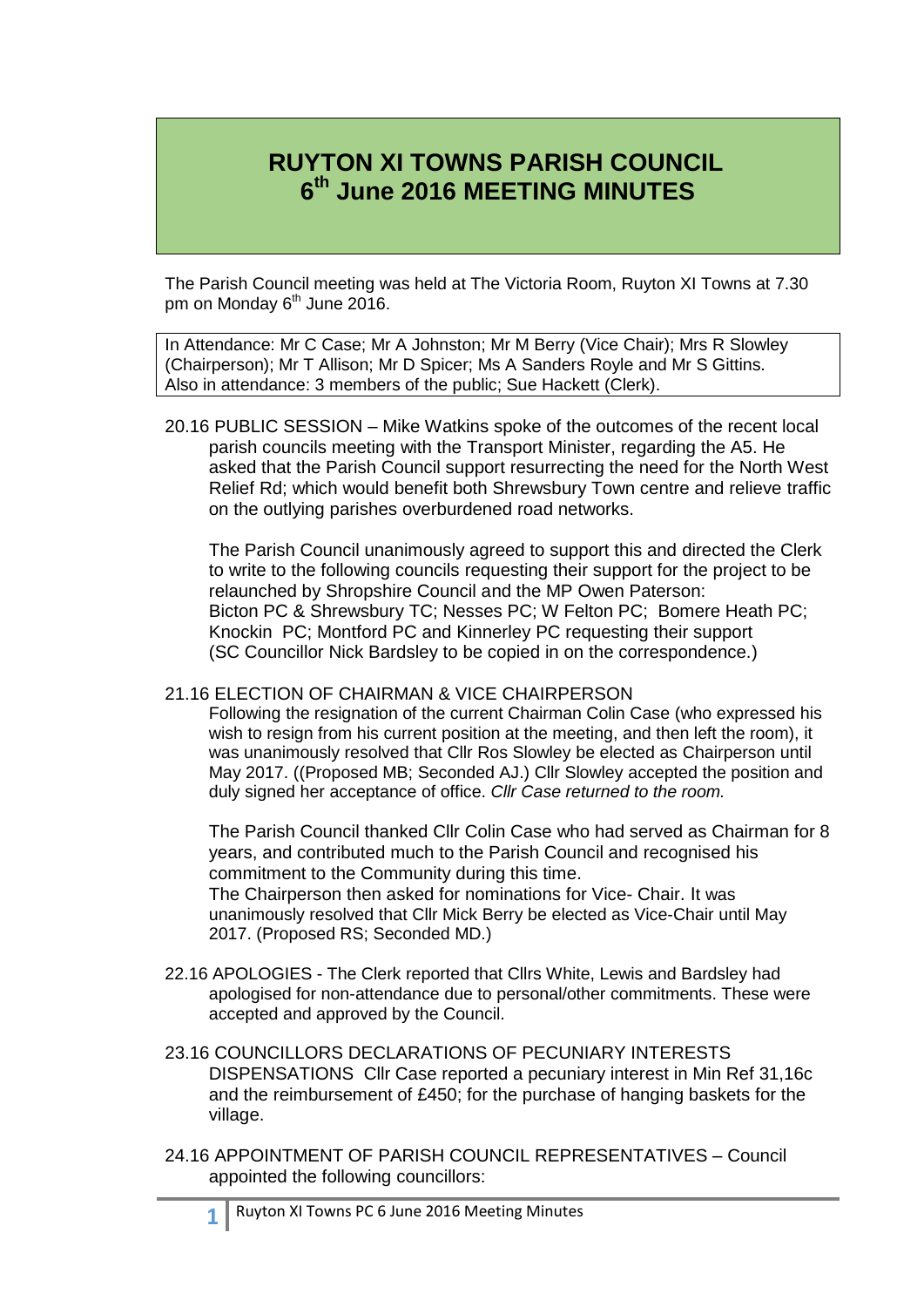# **RUYTON XI TOWNS PARISH COUNCIL 6 th June 2016 MEETING MINUTES**

The Parish Council meeting was held at The Victoria Room, Ruyton XI Towns at 7.30 pm on Monday 6<sup>th</sup> June 2016.

In Attendance: Mr C Case; Mr A Johnston; Mr M Berry (Vice Chair); Mrs R Slowley (Chairperson); Mr T Allison; Mr D Spicer; Ms A Sanders Royle and Mr S Gittins. Also in attendance: 3 members of the public; Sue Hackett (Clerk).

20.16 PUBLIC SESSION – Mike Watkins spoke of the outcomes of the recent local parish councils meeting with the Transport Minister, regarding the A5. He asked that the Parish Council support resurrecting the need for the North West Relief Rd; which would benefit both Shrewsbury Town centre and relieve traffic on the outlying parishes overburdened road networks.

The Parish Council unanimously agreed to support this and directed the Clerk to write to the following councils requesting their support for the project to be relaunched by Shropshire Council and the MP Owen Paterson: Bicton PC & Shrewsbury TC; Nesses PC; W Felton PC; Bomere Heath PC; Knockin PC; Montford PC and Kinnerley PC requesting their support (SC Councillor Nick Bardsley to be copied in on the correspondence.)

## 21.16 ELECTION OF CHAIRMAN & VICE CHAIRPERSON

Following the resignation of the current Chairman Colin Case (who expressed his wish to resign from his current position at the meeting, and then left the room), it was unanimously resolved that Cllr Ros Slowley be elected as Chairperson until May 2017. ((Proposed MB; Seconded AJ.) Cllr Slowley accepted the position and duly signed her acceptance of office. *Cllr Case returned to the room.*

The Parish Council thanked Cllr Colin Case who had served as Chairman for 8 years, and contributed much to the Parish Council and recognised his commitment to the Community during this time.

The Chairperson then asked for nominations for Vice- Chair. It was unanimously resolved that Cllr Mick Berry be elected as Vice-Chair until May 2017. (Proposed RS; Seconded MD.)

- 22.16 APOLOGIES The Clerk reported that Cllrs White, Lewis and Bardsley had apologised for non-attendance due to personal/other commitments. These were accepted and approved by the Council.
- 23.16 COUNCILLORS DECLARATIONS OF PECUNIARY INTERESTS DISPENSATIONS Cllr Case reported a pecuniary interest in Min Ref 31,16c and the reimbursement of £450; for the purchase of hanging baskets for the village.
- 24.16 APPOINTMENT OF PARISH COUNCIL REPRESENTATIVES Council appointed the following councillors: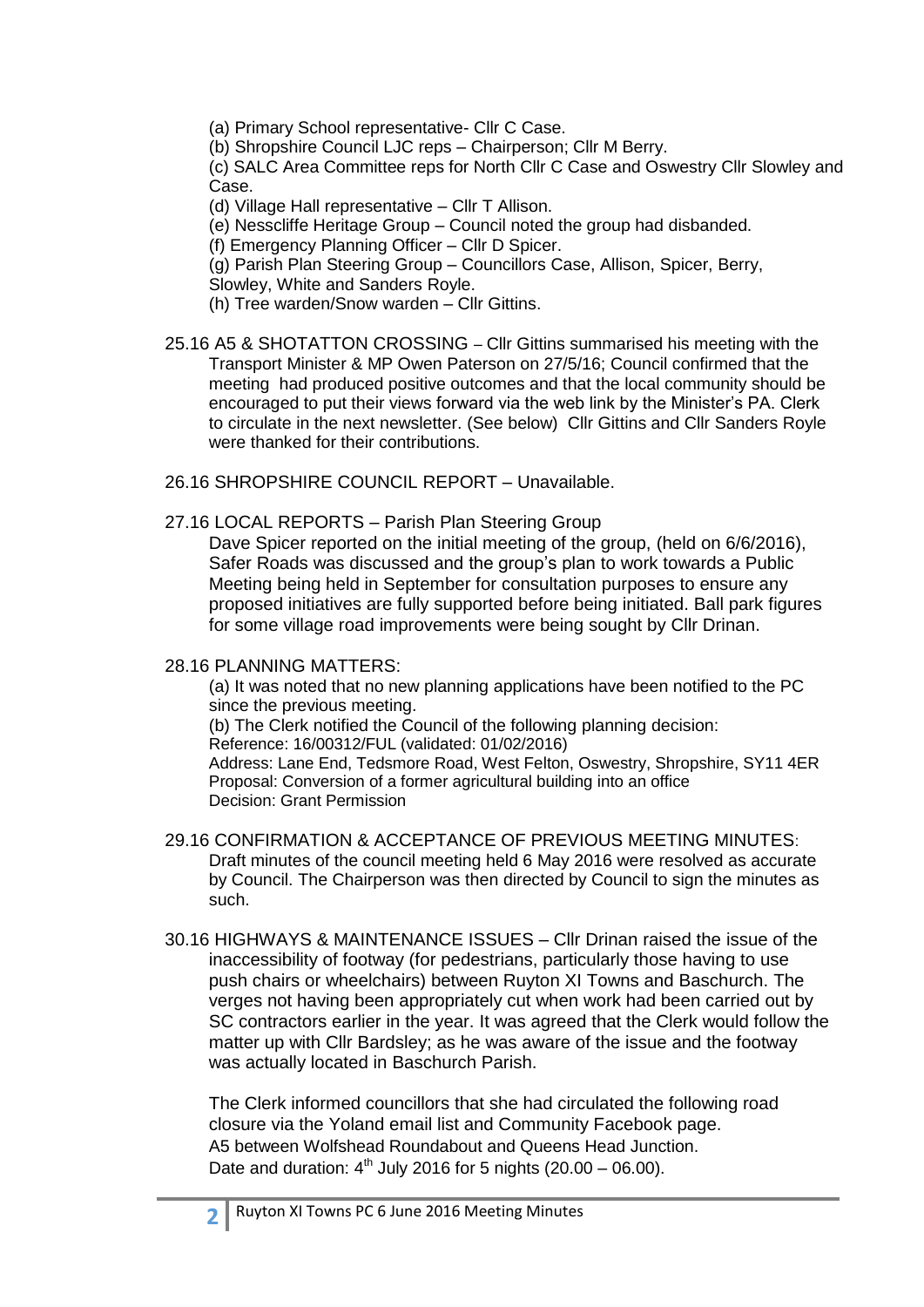(a) Primary School representative- Cllr C Case.

(b) Shropshire Council LJC reps – Chairperson; Cllr M Berry.

(c) SALC Area Committee reps for North Cllr C Case and Oswestry Cllr Slowley and Case.

(d) Village Hall representative – Cllr T Allison.

(e) Nesscliffe Heritage Group – Council noted the group had disbanded.

(f) Emergency Planning Officer – Cllr D Spicer.

(g) Parish Plan Steering Group – Councillors Case, Allison, Spicer, Berry,

Slowley, White and Sanders Royle.

(h) Tree warden/Snow warden – Cllr Gittins.

25.16 A5 & SHOTATTON CROSSING – Cllr Gittins summarised his meeting with the Transport Minister & MP Owen Paterson on 27/5/16; Council confirmed that the meeting had produced positive outcomes and that the local community should be encouraged to put their views forward via the web link by the Minister's PA. Clerk to circulate in the next newsletter. (See below) Cllr Gittins and Cllr Sanders Royle were thanked for their contributions.

26.16 SHROPSHIRE COUNCIL REPORT – Unavailable.

27.16 LOCAL REPORTS – Parish Plan Steering Group

Dave Spicer reported on the initial meeting of the group, (held on 6/6/2016), Safer Roads was discussed and the group's plan to work towards a Public Meeting being held in September for consultation purposes to ensure any proposed initiatives are fully supported before being initiated. Ball park figures for some village road improvements were being sought by Cllr Drinan.

## 28.16 PLANNING MATTERS:

(a) It was noted that no new planning applications have been notified to the PC since the previous meeting.

(b) The Clerk notified the Council of the following planning decision:

Reference: 16/00312/FUL (validated: 01/02/2016)

Address: Lane End, Tedsmore Road, West Felton, Oswestry, Shropshire, SY11 4ER Proposal: Conversion of a former agricultural building into an office Decision: Grant Permission

- 29.16 CONFIRMATION & ACCEPTANCE OF PREVIOUS MEETING MINUTES: Draft minutes of the council meeting held 6 May 2016 were resolved as accurate by Council. The Chairperson was then directed by Council to sign the minutes as such.
- 30.16 HIGHWAYS & MAINTENANCE ISSUES Cllr Drinan raised the issue of the inaccessibility of footway (for pedestrians, particularly those having to use push chairs or wheelchairs) between Ruyton XI Towns and Baschurch. The verges not having been appropriately cut when work had been carried out by SC contractors earlier in the year. It was agreed that the Clerk would follow the matter up with Cllr Bardsley; as he was aware of the issue and the footway was actually located in Baschurch Parish.

The Clerk informed councillors that she had circulated the following road closure via the Yoland email list and Community Facebook page. A5 between Wolfshead Roundabout and Queens Head Junction. Date and duration:  $4^{th}$  July 2016 for 5 nights (20.00 – 06.00).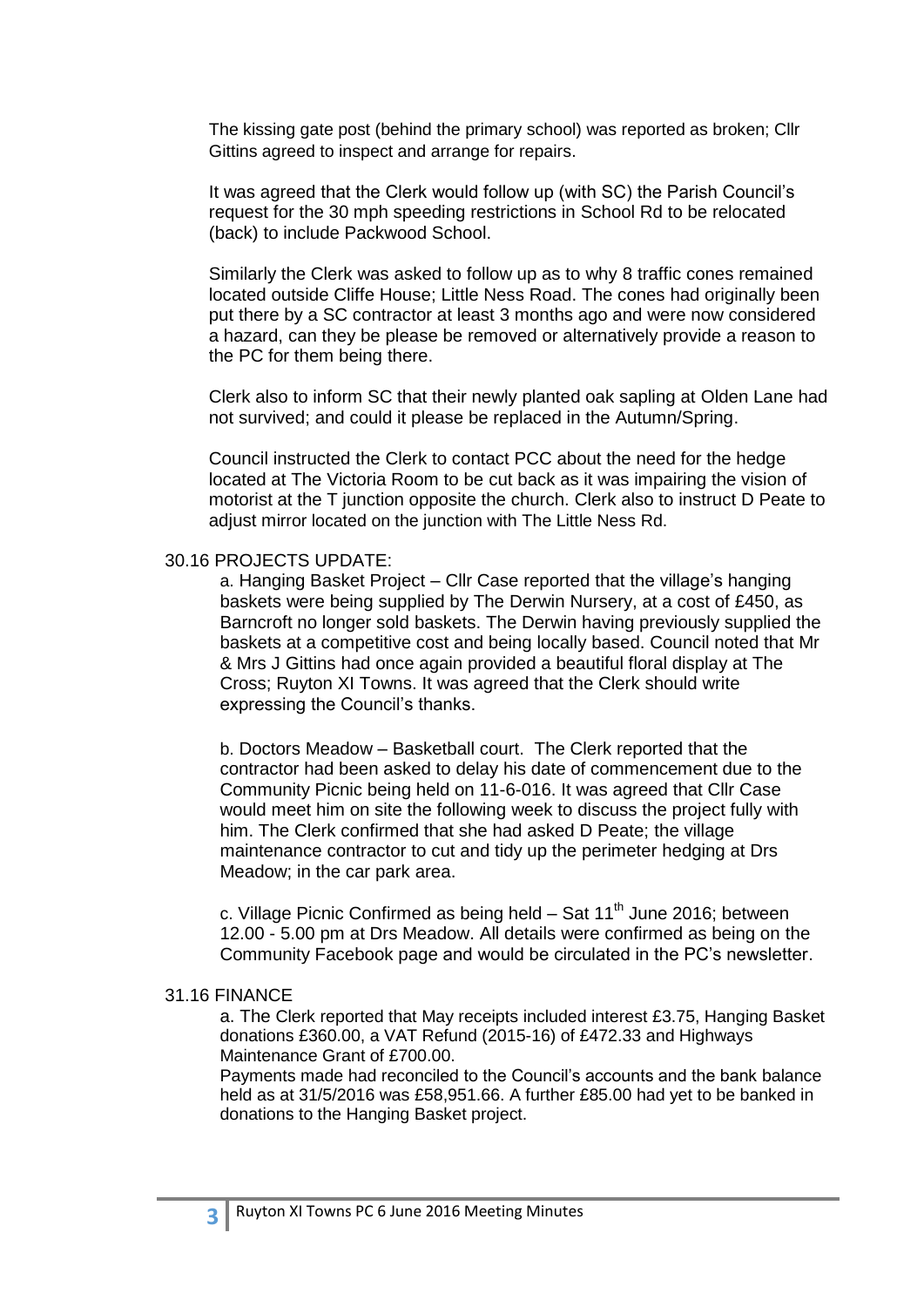The kissing gate post (behind the primary school) was reported as broken; Cllr Gittins agreed to inspect and arrange for repairs.

It was agreed that the Clerk would follow up (with SC) the Parish Council's request for the 30 mph speeding restrictions in School Rd to be relocated (back) to include Packwood School.

Similarly the Clerk was asked to follow up as to why 8 traffic cones remained located outside Cliffe House; Little Ness Road. The cones had originally been put there by a SC contractor at least 3 months ago and were now considered a hazard, can they be please be removed or alternatively provide a reason to the PC for them being there.

Clerk also to inform SC that their newly planted oak sapling at Olden Lane had not survived; and could it please be replaced in the Autumn/Spring.

Council instructed the Clerk to contact PCC about the need for the hedge located at The Victoria Room to be cut back as it was impairing the vision of motorist at the T junction opposite the church. Clerk also to instruct D Peate to adjust mirror located on the junction with The Little Ness Rd.

## 30.16 PROJECTS UPDATE:

a. Hanging Basket Project – Cllr Case reported that the village's hanging baskets were being supplied by The Derwin Nursery, at a cost of £450, as Barncroft no longer sold baskets. The Derwin having previously supplied the baskets at a competitive cost and being locally based. Council noted that Mr & Mrs J Gittins had once again provided a beautiful floral display at The Cross; Ruyton XI Towns. It was agreed that the Clerk should write expressing the Council's thanks.

b. Doctors Meadow – Basketball court. The Clerk reported that the contractor had been asked to delay his date of commencement due to the Community Picnic being held on 11-6-016. It was agreed that Cllr Case would meet him on site the following week to discuss the project fully with him. The Clerk confirmed that she had asked D Peate; the village maintenance contractor to cut and tidy up the perimeter hedging at Drs Meadow; in the car park area.

c. Village Picnic Confirmed as being held  $-$  Sat 11<sup>th</sup> June 2016; between 12.00 - 5.00 pm at Drs Meadow. All details were confirmed as being on the Community Facebook page and would be circulated in the PC's newsletter.

## 31.16 FINANCE

**3**

a. The Clerk reported that May receipts included interest £3.75, Hanging Basket donations £360.00, a VAT Refund (2015-16) of £472.33 and Highways Maintenance Grant of £700.00.

Payments made had reconciled to the Council's accounts and the bank balance held as at 31/5/2016 was £58,951.66. A further £85.00 had yet to be banked in donations to the Hanging Basket project.